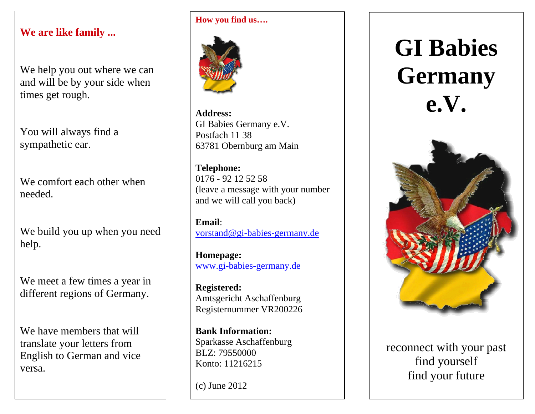#### **We are like family ...**

We help you out where we can and will be by your side when times get rough.

You will always find a sympathetic ear.

We comfort each other when needed.

We build you up when you need help.

We meet a few times a year in different regions of Germany.

We have members that will translate your letters from English to German and vice versa.

#### **How you find us….**



**Address:** GI Babies Germany e.V. Postfach 11 38 63781 Obernburg am Main

**Telephone:**  0176 - 92 12 52 58 (leave a message with your number and we will call you back)

**Email**: vorstand@gi-babies-germany.de

**Homepage:**  www.gi-babies-germany.de

**Registered:**  Amtsgericht Aschaffenburg Registernummer VR200226

**Bank Information:** Sparkasse Aschaffenburg BLZ: 79550000 Konto: 11216215

(c) June 2012

# **GI Babies Germany e.V.**



reconnect with your past find yourself find your future